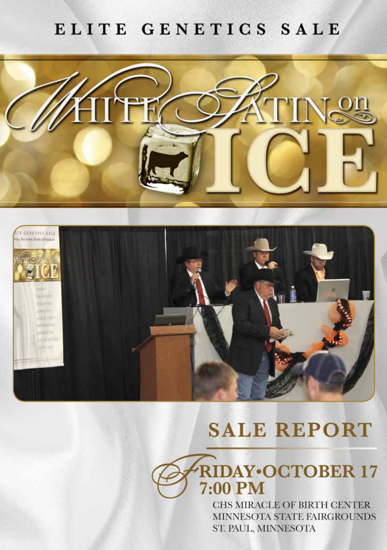### ELITE GENETICS SALE





# **SALE REPORT**

**RIDAY** OCTOBER 17 7:00 PM

> CHS MIRACLE OF BIRTH CENTER MINNESOTA STATE FAIRGROUNDS ST. PAUL, MINNESOTA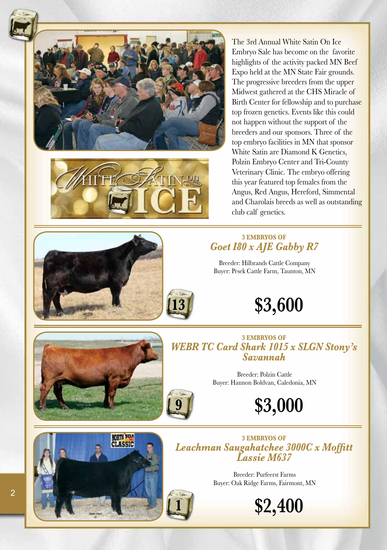



The 3rd Annual White Satin On Ice Embryo Sale has become on the favorite highlights of the activity packed MN Beef Expo held at the MN State Fair grounds. The progressive breeders from the upper Midwest gathered at the CHS Miracle of Birth Center for fellowship and to purchase top frozen genetics. Events like this could not happen without the support of the breeders and our sponsors. Three of the top embryo facilities in MN that sponsor White Satin are Diamond K Genetics, Polzin Embryo Center and Tri-County Veterinary Clinic. The embryo offering this year featured top females from the Angus, Red Angus, Hereford, Simmental and Charolais breeds as well as outstanding club calf genetics.

### **3 EMBryos of** *Goet I80 x AJE Gabby R7*

Breeder: Hilbrands Cattle Company Buyer: Pesek Cattle Farm, Taunton, MN





**3 EMBryos of** *WEBR TC Card Shark 1015 x SLGN Stony's Savannah*

> Breeder: Polzin Cattle Buyer: Hannon Boldvan, Caledonia, MN

> > **\$3,000**



**3 EMBryos of** *Leachman Saugahatchee 3000C x Moffitt Lassie M637*

> Breeder: Purfeerst Farms Buyer: Oak Ridge Farms, Fairmont, MN



**13**

**9**

**\$2,400**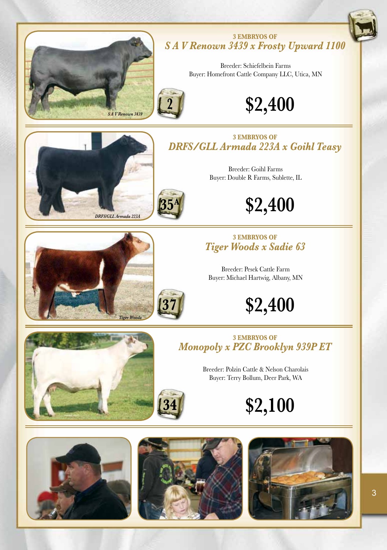

#### **3 EMBryos of** *S A V Renown 3439 x Frosty Upward 1100*

Breeder: Schiefelbein Farms Buyer: Homefront Cattle Company LLC, Utica, MN







**2**

**3 EMBryos of** *DRFS/GLL Armada 223A x Goihl Teasy*

> Breeder: Goihl Farms Buyer: Double R Farms, Sublette, IL

> > **\$2,400**

# *Tiger Woods*

# **37**

### **3 EMBryos of** *Tiger Woods x Sadie 63*

Breeder: Pesek Cattle Farm Buyer: Michael Hartwig, Albany, MN

**\$2,400**





**3 EMBryos of** *Monopoly x PZC Brooklyn 939P ET*

> Breeder: Polzin Cattle & Nelson Charolais Buyer: Terry Bollum, Deer Park, WA

> > **\$2,100**